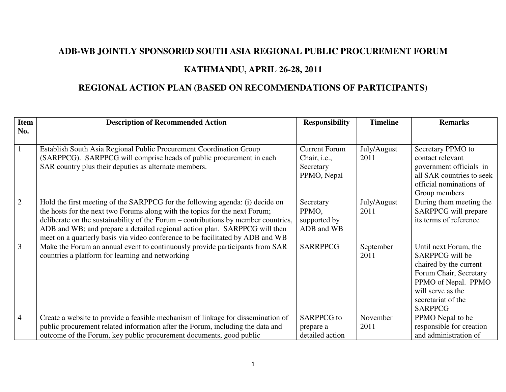## **ADB-WB JOINTLY SPONSORED SOUTH ASIA REGIONAL PUBLIC PROCUREMENT FORUM**

## **KATHMANDU, APRIL 26-28, 2011**

## **REGIONAL ACTION PLAN (BASED ON RECOMMENDATIONS OF PARTICIPANTS)**

| <b>Item</b>    | <b>Description of Recommended Action</b>                                                                                                                                                                                                                                                                                                                                                                           | <b>Responsibility</b>                                            | <b>Timeline</b>     | <b>Remarks</b>                                                                                                                                                                   |
|----------------|--------------------------------------------------------------------------------------------------------------------------------------------------------------------------------------------------------------------------------------------------------------------------------------------------------------------------------------------------------------------------------------------------------------------|------------------------------------------------------------------|---------------------|----------------------------------------------------------------------------------------------------------------------------------------------------------------------------------|
| No.            |                                                                                                                                                                                                                                                                                                                                                                                                                    |                                                                  |                     |                                                                                                                                                                                  |
| $\overline{1}$ | Establish South Asia Regional Public Procurement Coordination Group<br>(SARPPCG). SARPPCG will comprise heads of public procurement in each<br>SAR country plus their deputies as alternate members.                                                                                                                                                                                                               | <b>Current Forum</b><br>Chair, i.e.,<br>Secretary<br>PPMO, Nepal | July/August<br>2011 | Secretary PPMO to<br>contact relevant<br>government officials in<br>all SAR countries to seek<br>official nominations of<br>Group members                                        |
| $\overline{2}$ | Hold the first meeting of the SARPPCG for the following agenda: (i) decide on<br>the hosts for the next two Forums along with the topics for the next Forum;<br>deliberate on the sustainability of the Forum – contributions by member countries,<br>ADB and WB; and prepare a detailed regional action plan. SARPPCG will then<br>meet on a quarterly basis via video conference to be facilitated by ADB and WB | Secretary<br>PPMO,<br>supported by<br>ADB and WB                 | July/August<br>2011 | During them meeting the<br>SARPPCG will prepare<br>its terms of reference                                                                                                        |
| $\overline{3}$ | Make the Forum an annual event to continuously provide participants from SAR<br>countries a platform for learning and networking                                                                                                                                                                                                                                                                                   | <b>SARRPPCG</b>                                                  | September<br>2011   | Until next Forum, the<br>SARPPCG will be<br>chaired by the current<br>Forum Chair, Secretary<br>PPMO of Nepal. PPMO<br>will serve as the<br>secretariat of the<br><b>SARPPCG</b> |
| $\overline{4}$ | Create a website to provide a feasible mechanism of linkage for dissemination of                                                                                                                                                                                                                                                                                                                                   | <b>SARPPCG</b> to                                                | November            | PPMO Nepal to be                                                                                                                                                                 |
|                | public procurement related information after the Forum, including the data and                                                                                                                                                                                                                                                                                                                                     | prepare a                                                        | 2011                | responsible for creation                                                                                                                                                         |
|                | outcome of the Forum, key public procurement documents, good public                                                                                                                                                                                                                                                                                                                                                | detailed action                                                  |                     | and administration of                                                                                                                                                            |